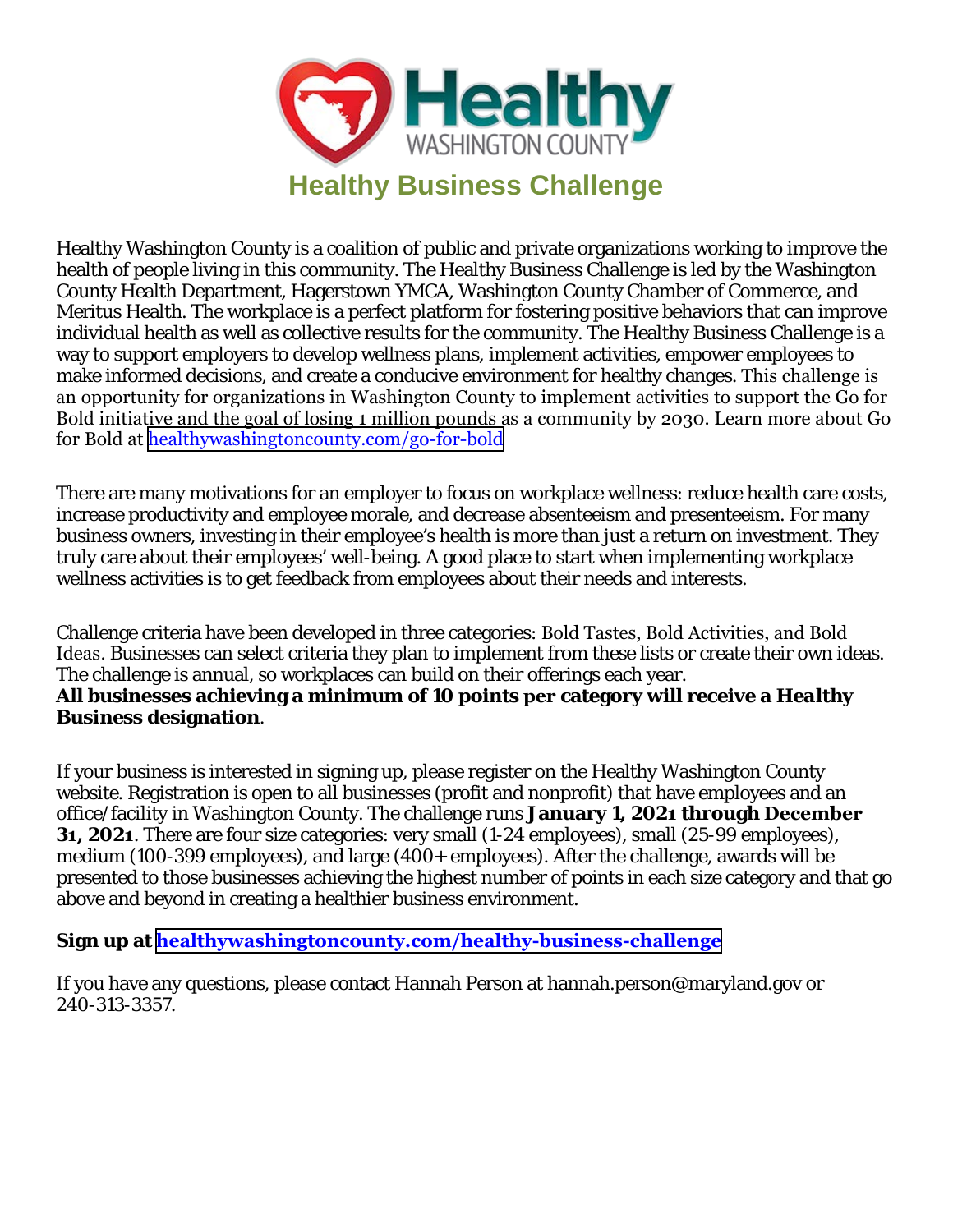

Healthy Washington County is a coalition of public and private organizations working to improve the health of people living in this community. The Healthy Business Challenge is led by the Washington County Health Department, Hagerstown YMCA, Washington County Chamber of Commerce, and Meritus Health. The workplace is a perfect platform for fostering positive behaviors that can improve individual health as well as collective results for the community. The Healthy Business Challenge is a way to support employers to develop wellness plans, implement activities, empower employees to make informed decisions, and create a conducive environment for healthy changes. This challenge is an opportunity for organizations in Washington County to implement activities to support the Go for Bold initiative and the goal of losing 1 million pounds as a community by 2030. Learn more about Go for Bold at [healthywashingtoncounty.com/go-for-bold](https://healthywashingtoncounty.com/go-for-bold/)

There are many motivations for an employer to focus on workplace wellness: reduce health care costs, increase productivity and employee morale, and decrease absenteeism and presenteeism. For many business owners, investing in their employee's health is more than just a return on investment. They truly care about their employees' well-being. A good place to start when implementing workplace wellness activities is to get feedback from employees about their needs and interests.

Challenge criteria have been developed in three categories: Bold Tastes, Bold Activities, and Bold Ideas. Businesses can select criteria they plan to implement from these lists or create their own ideas. The challenge is annual, so workplaces can build on their offerings each year. **All businesses achieving a minimum of 10 points per category will receive a** *Healthy Business* **designation**.

If your business is interested in signing up, please register on the Healthy Washington County website. Registration is open to all businesses (profit and nonprofit) that have employees and an office/facility in Washington County. The challenge runs **January 1, 2021 through December 31, 2021**. There are four size categories: very small (1-24 employees), small (25-99 employees), medium (100-399 employees), and large (400+ employees). After the challenge, awards will be presented to [those businesses achieving the highest number of points in each size category](https://healthywashingtoncounty.com/resources/healthy-business-challenge) and that go above and beyond in creating a healthier business environment.

# **Sign up at [healthywashingtoncounty.com/healthy-business-challenge](https://healthywashingtoncounty.com/healthy-business-challenge/)**

If you have any questions, please contact Hannah Person at hannah.person@maryland.gov or 240-313-3357.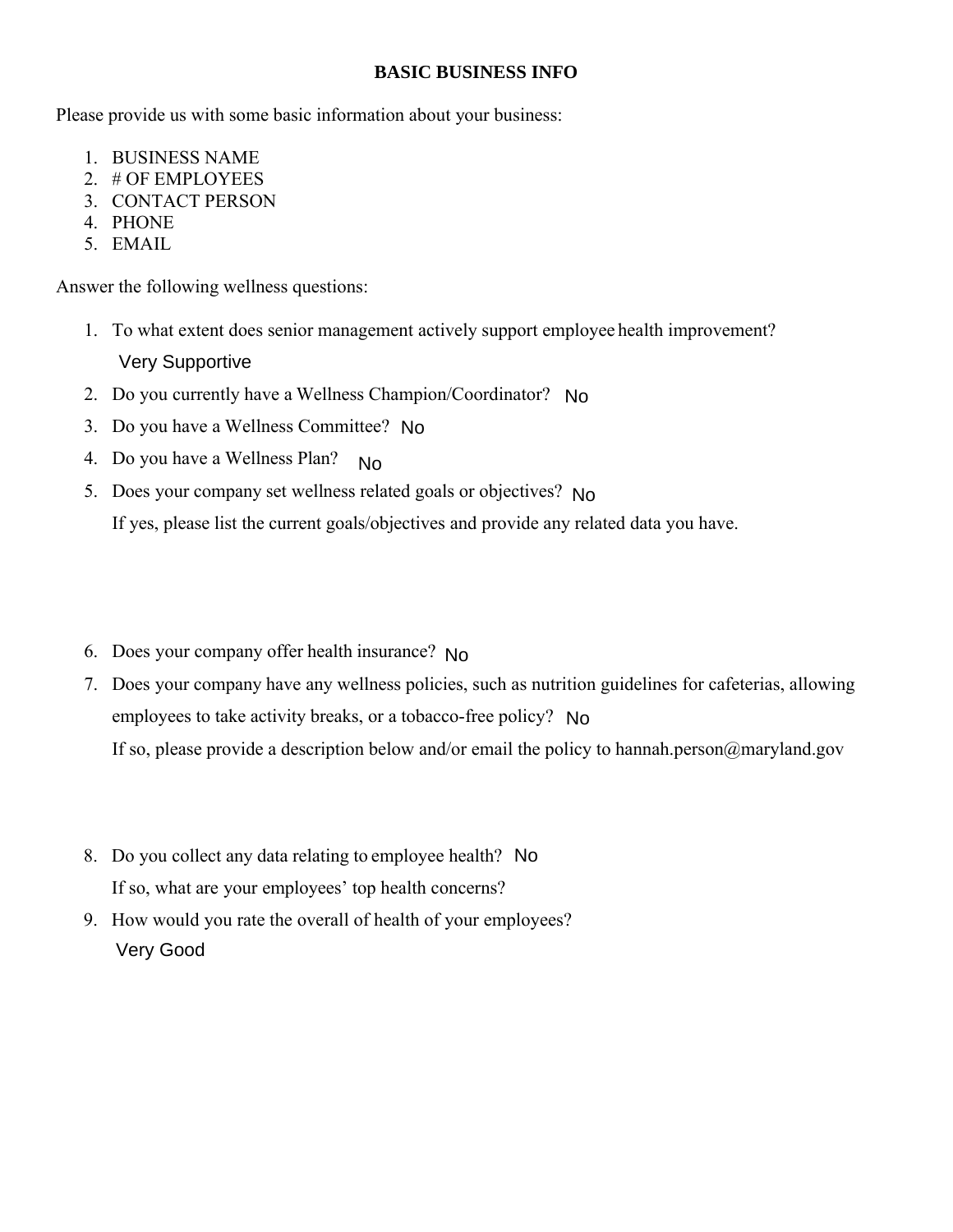### **BASIC BUSINESS INFO**

Please provide us with some basic information about your business:

- 1. BUSINESS NAME
- 2. # OF EMPLOYEES
- 3. CONTACT PERSON
- 4. PHONE
- 5. EMAIL

Answer the following wellness questions:

- 1. To what extent does senior management actively support employee health improvement? Very Supportive
- 2. Do you currently have a Wellness Champion/Coordinator? No
- 3. Do you have a Wellness Committee?
- 4. Do you have a Wellness Plan? No
- 5. Does your company set wellness related goals or objectives? No

If yes, please list the current goals/objectives and provide any related data you have.

- 6. Does your company offer health insurance?  $N_0$
- 7. Does your company have any wellness policies, such as nutrition guidelines for cafeterias, allowing employees to take activity breaks, or a tobacco-free policy? No If so, please provide a description below and/or email the policy to hannah.person@maryland.gov Do you currently have a Wellness Champion/Coordinator? No<br>Do you have a Wellness Committee? No<br>Do you have a Wellness Plan? No<br>Does your company set wellness related goals or objectives? No<br>Does your company set wellness r
- 8. Do you collect any data relating to employee health? If so, what are your employees' top health concerns?
- 9. How would you rate the overall of health of your employees?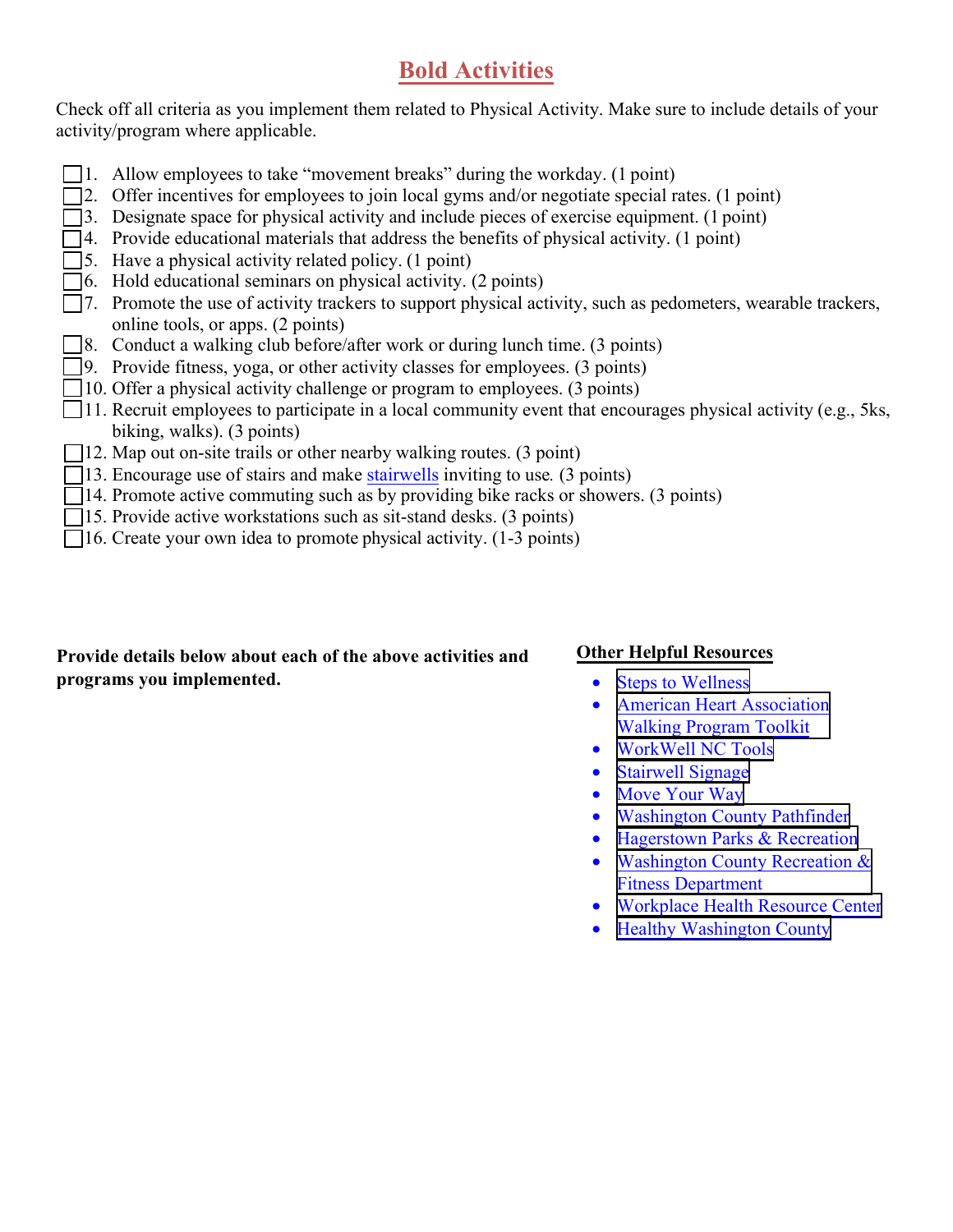# **Bold Activities**

Check off all criteria as you implement them related to Physical Activity. Make sure to include details of your activity/program where applicable.

- $\Box$  1. Allow employees to take "movement breaks" during the workday. (1 point)
- $\square$  2. Offer incentives for employees to join local gyms and/or negotiate special rates. (1 point)
- $\Box$ 3. Designate space for physical activity and include pieces of exercise equipment. (1 point)
- 4. Provide educational materials that address the benefits of physical activity. (1 point)
- $\Box$  5. Have a physical activity related policy. (1 point)
- $\Box$ 6. Hold educational seminars on physical activity. (2 points)
- $\Box$ 7. Promote the use of activity trackers to support physical activity, such as pedometers, wearable trackers, online tools, or apps. (2 points)
- $\Box$ 8. Conduct a walking club before/after work or during lunch time. (3 points)
- $\Box$ 9. Provide fitness, yoga, or other activity classes for employees. (3 points)
- $\Box$ 10. Offer a physical activity challenge or program to employees. (3 points)
- $\Box$ 11. Recruit employees to participate in a local community event that encourages physical activity (e.g., 5ks, biking, walks). (3 points)
- $\Box$ 12. Map out on-site trails or other nearby walking routes. (3 point)
- 13. Encourage use of stairs and make [stairwells](https://institute.welcoa.org/wp/wp-content/uploads/2015/05/stairwell-to-health.pdf) inviting to use*.* (3 points)
- $\Box$  14. Promote active commuting such as by providing bike racks or showers. (3 points)
- $\Box$ 15. Provide active workstations such as sit-stand desks. (3 points)
- $\Box$ 16. Create your own idea to promote physical activity. (1-3 points)

## **Provide details below about each of the above activities and programs you implemented.**

## **Other Helpful Resources**

- [Steps to Wellness](https://www.cdc.gov/physicalactivity/worksite-pa/toolkits/pa-toolkit.htm)
- [American Heart Association](http://www.heart.org/HEARTORG/HealthyLiving/WorkplaceWellness/WorkplaceWellnessResources/The-American-Heart-Associations-Worksite-Wellness-Kit_UCM_460433_Article.jsp#.XYPoAehKiUk) Walking Program Toolkit
- [WorkWell NC Tools](https://workwellnc.com/workwell_tools.php)
- [Stairwell Signage](https://www.cdc.gov/physicalactivity/worksite-pa/pdf/stairwell_messages.pdf)
- [Move Your Way](https://health.gov/moveyourway/)
- [Washington County Pathfinder](https://washcopathfinder.com/)
- [Hagerstown Parks & Recreation](https://www.hagerstownmd.org/145/Parks-Recreation)
- [Washington County Recreation &](https://www.washco-md.net/recreation-fitness/) Fitness Department
- [Workplace Health Resource Center](https://nccd.cdc.gov/WHRC)
- [Healthy Washington County](https://healthywashingtoncounty.com/)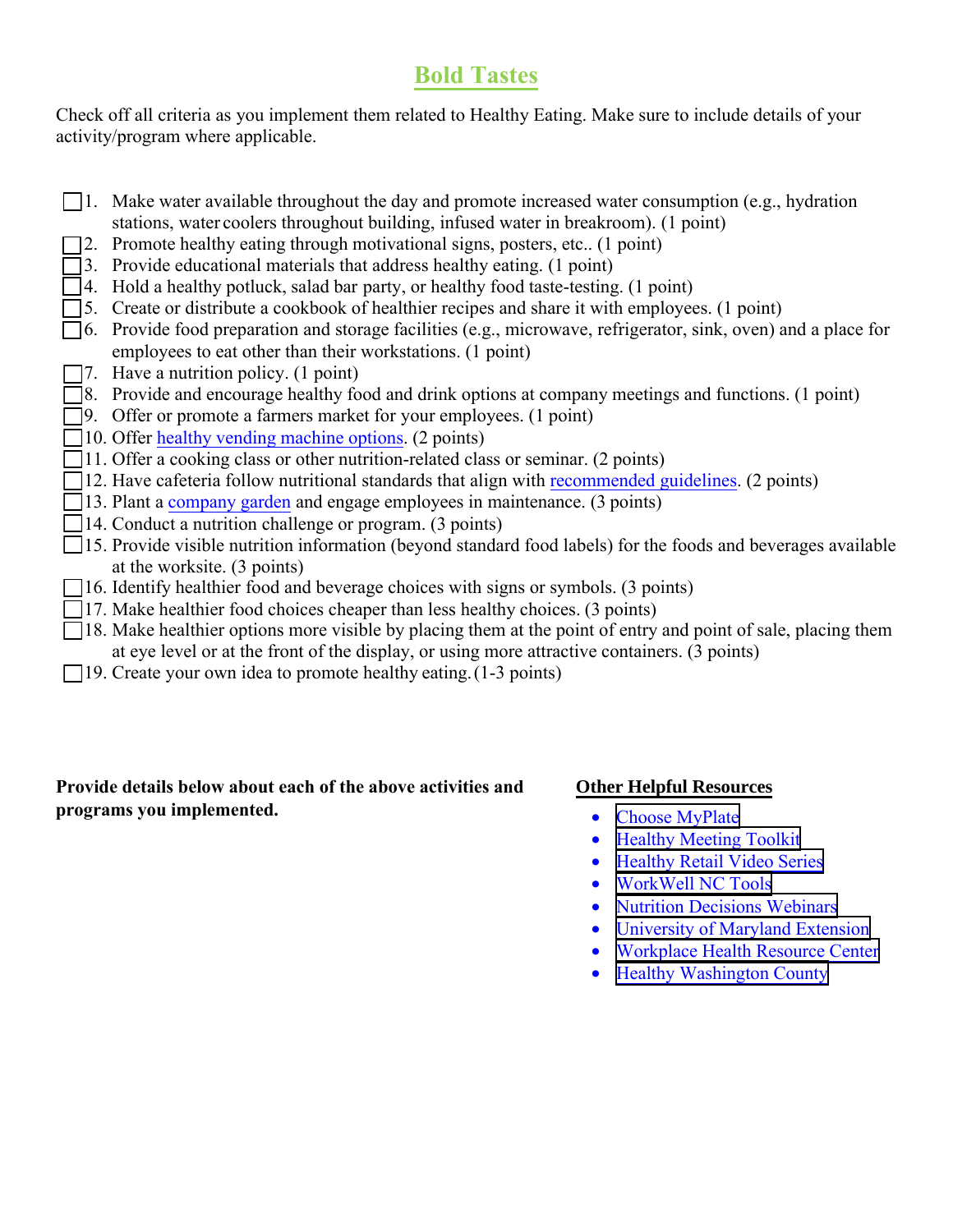# **Bold Tastes**

Check off all criteria as you implement them related to Healthy Eating. Make sure to include details of your activity/program where applicable.

- $\Box$ 1. Make water available throughout the day and promote increased water consumption (e.g., hydration stations, water coolers throughout building, infused water in breakroom). (1 point)
- $\square$ 2. Promote healthy eating through motivational signs, posters, etc.. (1 point)
- 3. Provide educational materials that address healthy eating. (1 point)
- $\Box$ 4. Hold a healthy potluck, salad bar party, or healthy food taste-testing. (1 point)
- 5. Create or distribute a cookbook of healthier recipes and share it with employees. (1 point)
- $\Box$ 6. Provide food preparation and storage facilities (e.g., microwave, refrigerator, sink, oven) and a place for employees to eat other than their workstations. (1 point)
- $\Box$ 7. Have a nutrition policy. (1 point)
- $\Box$ 8. Provide and encourage healthy food and drink options at company meetings and functions. (1 point)
- $\Box$ 9. Offer or promote a farmers market for your employees. (1 point)
- $\Box$ 10. Offer [healthy vending machine options.](https://cspinet.org/sites/default/files/attachment/Product%20List%202016_0.pdf) (2 points)
- $\Box$ 11. Offer a cooking class or other nutrition-related class or seminar. (2 points)
- $\Box$ 12. Have cafeteria follow nutritional standards that align with [recommended](https://www.cdc.gov/obesity/strategies/food-serv-guide.html) guidelines. (2 points)
- $\Box$ 13. Plant a [company](http://extension.umd.edu/washington-county/home-gardening/master-gardeners) garden and engage employees in maintenance. (3 points)
- $\Box$ 14. Conduct a nutrition challenge or program. (3 points)
- $\Box$ 15. Provide visible nutrition information (beyond standard food labels) for the foods and beverages available at the worksite. (3 points)
- 16. Identify healthier food and beverage choices with signs or symbols. (3 points)
- $\Box$ 17. Make healthier food choices cheaper than less healthy choices. (3 points)
- $\Box$ 18. Make healthier options more visible by placing them at the point of entry and point of sale, placing them at eye level or at the front of the display, or using more attractive containers. (3 points)
- $\Box$ 19. Create your own idea to promote healthy eating. (1-3 points)

# **Provide details below about each of the above activities and <b>Other Helpful Resources programs you implemented.** <br>• [Choose MyPlate](https://choosemyplate.gov)

- 
- [Healthy Meeting Toolkit](https://cspinet.org/sites/default/files/attachment/Final Healthy Meeting Toolkit.pdf)
- [Healthy Retail Video Series](https://www.youtube.com/watch?v=aLSLZipdr3I)
- [WorkWell NC Tools](https://workwellnc.com/workwell_tools.php)
- [Nutrition Decisions Webinars](https://esmmweighless.com/newsletter-webinars/)
- [University of Maryland Extension](https://extension.umd.edu/washington-county)
- [Workplace Health Resource Center](https://nccd.cdc.gov/WHRC)
- [Healthy Washington County](https://healthywashingtoncounty.com/)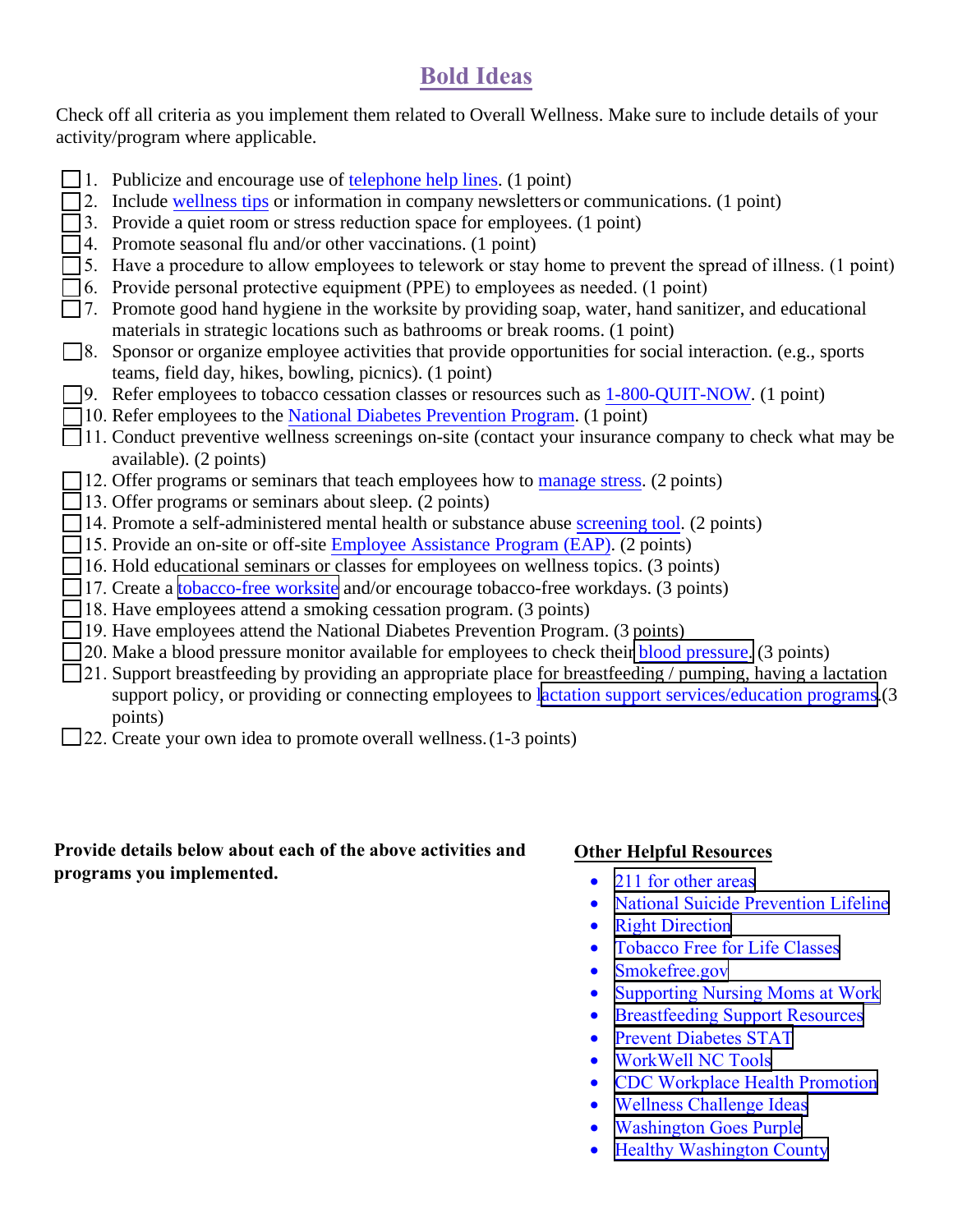# **Bold Ideas**

Check off all criteria as you implement them related to Overall Wellness. Make sure to include details of your activity/program where applicable.

- 1. Publicize and encourage use of [telephone help lines.](http://www.211md.org/) (1 point)
- $\Box$  2. Include [wellness tips](https://offers.totalwellnesshealth.com/employee-newsletter-health-tips) or information in company newsletters or communications. (1 point)
- 3. Provide a quiet room or stress reduction space for employees. (1 point)
- $\Box$  4. Promote seasonal flu and/or other vaccinations. (1 point)
- $\Box$  5. Have a procedure to allow employees to telework or stay home to prevent the spread of illness. (1 point)
- $\Box$  6. Provide personal protective equipment (PPE) to employees as needed. (1 point)
- $\Box$ 7. Promote good hand hygiene in the worksite by providing soap, water, hand sanitizer, and educational materials in strategic locations such as bathrooms or break rooms. (1 point)
- $\square$ 8. Sponsor or organize employee activities that provide opportunities for social interaction. (e.g., sports teams, field day, hikes, bowling, picnics). (1 point)
- $\Box$ 9. Refer employees to tobacco cessation classes or resources such as  $1-800-$ OUIT-NOW. (1 point)
- □ 10. Refer employees to the [National Diabetes Prevention Program.](https://www.cdc.gov/diabetes/prevention/index.html) (1 point)
- □ 11. Conduct preventive wellness screenings on-site (contact your insurance company to check what may be available). (2 points)
- $\Box$  12. Offer programs or seminars that teach employees how to [manage stress.](https://stressstop.com/pages/free-resources) (2 points)
- 13. Offer programs or seminars about sleep. (2 points)
- 14. Promote a self-administered mental health or substance abuse [screening tool.](http://mhascreening.org/) (2 points)
- 15. Provide an on-site or off-site [Employee Assistance Program \(EAP\).](http://www.meritushealth.com/Our-Services/Additional-Services/Behavioral-Health/Employee-Assistance-Program.aspx) (2 points)
- 16. Hold educational seminars or classes for employees on wellness topics. (3 points)
- 17. Create a [tobacco-free worksite](https://www.cdc.gov/niosh/topics/tobacco/default.html) and/or encourage tobacco-free workdays. (3 points)
- 18. Have employees attend a smoking cessation program. (3 points)
- 19. Have employees attend the National Diabetes Prevention Program. (3 points)
- □ 20. Make a blood pressure monitor available for employees to check their [blood pressure. \(3 points\)](https://phpa.health.maryland.gov/wic/Pages/breastfeeding-services.aspx)
- $\Box$ 21. Support breastfeeding by providing an appropriate place for breastfeeding / pumping, having a lactation support policy, or providing or connecting employees to [lactation support services/education](https://phpa.health.maryland.gov/wic/Pages/breastfeeding-services.aspx) programs. (3) points)
- □ 22. Create your own idea to promote overall wellness. (1-3 points)

# **Provide details below about each of the above activities and programs you implemented.**

# **Other Helpful Resources**

- [211 for other areas](http://www.211.org/)
- [National Suicide Prevention Lifeline](https://suicidepreventionlifeline.org/)
- [Right Direction](http://www.rightdirectionforme.com/)
- [Tobacco Free for Life Classes](https://washcohealth.org/health-services/tobacco-free-for-life/)
- [Smokefree.gov](https://smokefree.gov/)
- [Supporting Nursing Moms at Work](https://www.womenshealth.gov/supporting-nursing-moms-work)
- [Breastfeeding Support Resources](http://washcohealth.org/wp-content/uploads/2018/05/new-BF-rack-card.pdf)
- [Prevent Diabetes STAT](https://preventdiabetesstat.org/employers-and-insurers.html)
- [WorkWell NC Tools](https://workwellnc.com/workwell_tools.php)
- [CDC Workplace Health Promotion](https://www.cdc.gov/workplacehealthpromotion/)
- [Wellness Challenge Ideas](https://www.wellright.com/wellness-resources/books)
- [Washington Goes Purple](https://www.washingtongoespurple.com/)
- [Healthy Washington County](https://healthywashingtoncounty.com/)